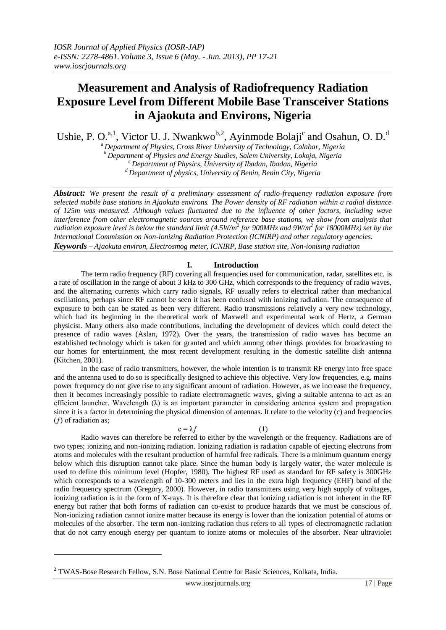# **Measurement and Analysis of Radiofrequency Radiation Exposure Level from Different Mobile Base Transceiver Stations in Ajaokuta and Environs, Nigeria**

Ushie, P. O.<sup>a,1</sup>, Victor U. J. Nwankwo<sup>b,2</sup>, Ayinmode Bolaji<sup>c</sup> and Osahun, O. D.<sup>d</sup>

*<sup>a</sup> Department of Physics, Cross River University of Technology, Calabar, Nigeria <sup>b</sup> Department of Physics and Energy Studies, Salem University, Lokoja, Nigeria <sup>c</sup> Department of Physics, University of Ibadan, Ibadan, Nigeria*

*<sup>d</sup> Department of physics, University of Benin, Benin City, Nigeria*

*Abstract: We present the result of a preliminary assessment of radio-frequency radiation exposure from selected mobile base stations in Ajaokuta environs. The Power density of RF radiation within a radial distance of 125m was measured. Although values fluctuated due to the influence of other factors, including wave interference from other electromagnetic sources around reference base stations, we show from analysis that radiation exposure level is below the standard limit (4.5W/m<sup>2</sup> for 900MHz and 9W/m<sup>2</sup> for 18000MHz) set by the International Commission on Non-ionizing Radiation Protection (ICNIRP) and other regulatory agencies. Keywords – Ajaokuta environ, Electrosmog meter, ICNIRP, Base station site, Non-ionising radiation*

### **I. Introduction**

The term radio frequency (RF) covering all frequencies used for communication, radar, satellites etc. is a rate of oscillation in the range of about 3 [kHz](http://en.wikipedia.org/wiki/KHz) to 300 [GHz,](http://en.wikipedia.org/wiki/Gigahertz) which corresponds to the [frequency](http://en.wikipedia.org/wiki/Frequency) of [radio waves,](http://en.wikipedia.org/wiki/Radio_waves) and the [alternating currents](http://en.wikipedia.org/wiki/Alternating_current) which carry radio signals. RF usually refers to electrical rather than mechanical oscillations, perhaps since RF cannot be seen it has been confused with ionizing radiation. The consequence of exposure to both can be stated as been very different. Radio transmissions relatively a very new technology, which had its beginning in the theoretical work of Maxwell and experimental work of Hertz, a German physicist. Many others also made contributions, including the development of devices which could detect the presence of radio waves (Aslan, 1972). Over the years, the transmission of radio waves has become an established technology which is taken for granted and which among other things provides for broadcasting to our homes for entertainment, the most recent development resulting in the domestic satellite dish antenna (Kitchen, 2001).

In the case of radio transmitters, however, the whole intention is to transmit RF energy into free space and the antenna used to do so is specifically designed to achieve this objective. Very low frequencies, e.g. mains power frequency do not give rise to any significant amount of radiation. However, as we increase the frequency, then it becomes increasingly possible to radiate electromagnetic waves, giving a suitable antenna to act as an efficient launcher. Wavelength  $(\lambda)$  is an important parameter in considering antenna system and propagation since it is a factor in determining the physical dimension of antennas. It relate to the velocity (c) and frequencies  $(f)$  of radiation as;

 $c = \lambda f$  (1)

Radio waves can therefore be referred to either by the wavelength or the frequency. Radiations are of two types; ionizing and non-ionizing radiation. Ionizing radiation is radiation capable of ejecting electrons from atoms and molecules with the resultant production of harmful free radicals. There is a minimum quantum energy below which this disruption cannot take place. Since the human body is largely water, the water molecule is used to define this minimum level (Hopfer, 1980). The highest RF used as standard for RF safety is 300GHz which corresponds to a wavelength of 10-300 meters and lies in the extra high frequency (EHF) band of the radio frequency spectrum (Gregory, 2000). However, in radio transmitters using very high supply of voltages, ionizing radiation is in the form of X-rays. It is therefore clear that ionizing radiation is not inherent in the RF energy but rather that both forms of radiation can co-exist to produce hazards that we must be conscious of. Non-ionizing radiation cannot ionize matter because its energy is lower than the ionization potential of atoms or molecules of the absorber. The term non-ionizing radiation thus refers to all types of electromagnetic radiation that do not carry enough energy per quantum to ionize atoms or molecules of the absorber. Near ultraviolet

1

<sup>2</sup> TWAS-Bose Research Fellow, S.N. Bose National Centre for Basic Sciences, Kolkata, India.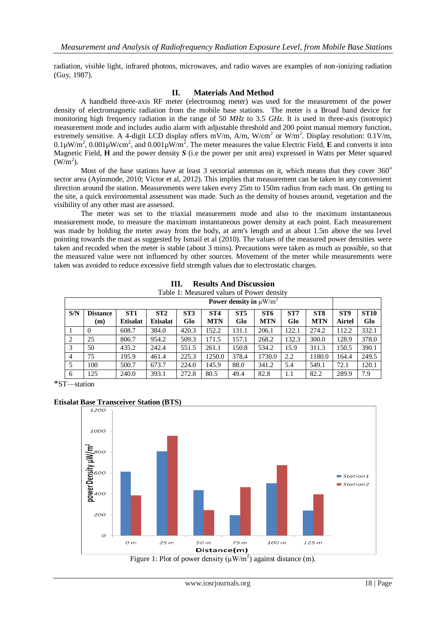radiation, visible light, infrared photons, microwaves, and radio waves are examples of non-ionizing radiation (Guy, 1987).

### **II. Materials And Method**

A handheld three-axis RF meter (electrosmog meter) was used for the measurement of the power density of electromagnetic radiation from the mobile base stations. The meter is a Broad band device for monitoring high frequency radiation in the range of 50 *MHz* to 3.5 *GHz*. It is used in three-axis (isotropic) measurement mode and includes audio alarm with adjustable threshold and 200 point manual memory function, extremely sensitive. A 4-digit LCD display offers mV/m, A/m, W/cm<sup>2</sup> or W/m<sup>2</sup>. Display resolution: 0.1V/m,  $0.1\mu\text{W/m}^2$ ,  $0.001\mu\text{W/cm}^2$ , and  $0.001\mu\text{W/m}^2$ . The meter measures the value Electric Field, **E** and converts it into Magnetic Field, **H** and the power density *S* (i.e the power per unit area) expressed in Watts per Meter squared  $(W/m<sup>2</sup>)$ .

Most of the base stations have at least 3 sectorial antennas on it, which means that they cover  $360^{\circ}$ sector area (Ayinmode, 2010; Victor et al, 2012). This implies that measurement can be taken in any convenient direction around the station. Measurements were taken every 25m to 150m radius from each mast. On getting to the site, a quick environmental assessment was made. Such as the density of houses around, vegetation and the visibility of any other mast are assessed.

The meter was set to the triaxial measurement mode and also to the maximum instantaneous measurement mode, to measure the maximum instantaneous power density at each point. Each measurement was made by holding the meter away from the body, at arm's length and at about 1.5m above the sea level pointing towards the mast as suggested by Ismail et al (2010). The values of the measured power densities were taken and recoded when the meter is stable (about 3 mins). Precautions were taken as much as possible, so that the measured value were not influenced by other sources. Movement of the meter while measurements were taken was avoided to reduce excessive field strength values due to electrostatic charges.

| Power density in $\mu$ W/m <sup>2</sup> |                        |                                    |                        |                        |                               |                        |                               |            |                               |               |                    |
|-----------------------------------------|------------------------|------------------------------------|------------------------|------------------------|-------------------------------|------------------------|-------------------------------|------------|-------------------------------|---------------|--------------------|
| S/N                                     | <b>Distance</b><br>(m) | ST <sub>1</sub><br><b>Etisalat</b> | ST2<br><b>Etisalat</b> | ST <sub>3</sub><br>Glo | ST <sub>4</sub><br><b>MTN</b> | ST <sub>5</sub><br>Glo | ST <sub>6</sub><br><b>MTN</b> | ST7<br>Glo | ST <sub>8</sub><br><b>MTN</b> | ST9<br>Airtel | <b>ST10</b><br>Glo |
|                                         | $\Omega$               | 608.7                              | 384.0                  | 420.3                  | 152.2                         | 131.1                  | 206.1                         | 122.1      | 274.2                         | 112.2         | 332.1              |
| 2                                       | 25                     | 806.7                              | 954.2                  | 509.3                  | 171.5                         | 157.1                  | 268.2                         | 132.3      | 300.0                         | 128.9         | 378.0              |
| 3                                       | 50                     | 435.2                              | 242.4                  | 551.5                  | 261.1                         | 150.8                  | 534.2                         | 15.9       | 311.3                         | 150.5         | 390.1              |
| $\overline{4}$                          | 75                     | 195.9                              | 461.4                  | 225.3                  | 1250.0                        | 378.4                  | 1730.0                        | 2.2        | 1180.0                        | 164.4         | 249.5              |
| .5                                      | 100                    | 500.7                              | 673.7                  | 224.0                  | 145.9                         | 88.0                   | 341.2                         | 5.4        | 549.1                         | 72.1          | 120.1              |
| 6                                       | 125                    | 240.0                              | 393.1                  | 272.8                  | 80.5                          | 49.4                   | 82.8                          | 1.1        | 82.2                          | 289.9         | 7.9                |

| III. | <b>Results And Discussion</b>             |  |
|------|-------------------------------------------|--|
|      | Table 1: Measured values of Power density |  |

\*ST—station

### **Etisalat Base Transceiver Station (BTS)**



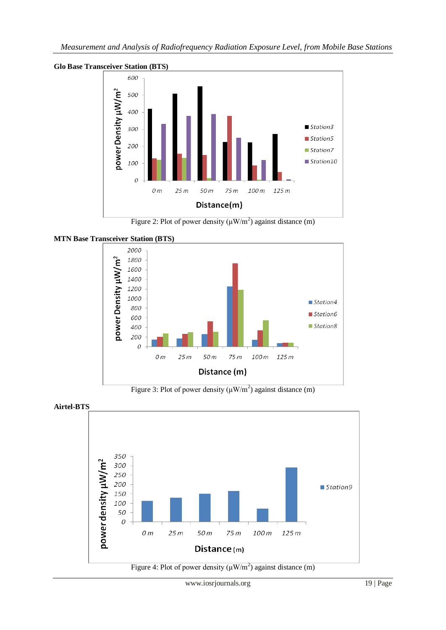

**Glo Base Transceiver Station (BTS)**





**MTN Base Transceiver Station (BTS)**

Figure 3: Plot of power density  $(\mu W/m^2)$  against distance (m)



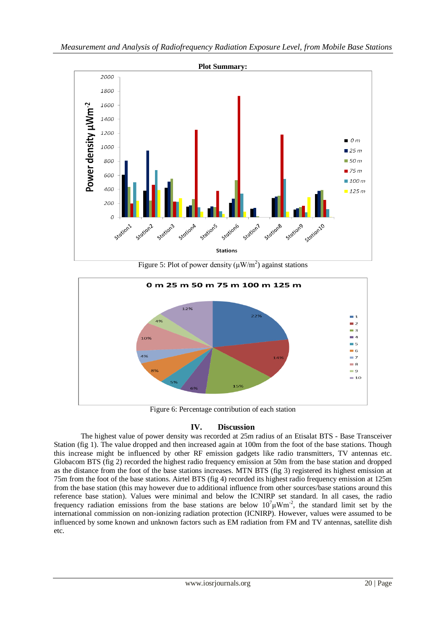

Figure 5: Plot of power density  $(\mu W/m^2)$  against stations



Figure 6: Percentage contribution of each station

## **IV. Discussion**

The highest value of power density was recorded at 25m radius of an Etisalat BTS - Base Transceiver Station (fig 1). The value dropped and then increased again at 100m from the foot of the base stations. Though this increase might be influenced by other RF emission gadgets like radio transmitters, TV antennas etc. Globacom BTS (fig 2) recorded the highest radio frequency emission at 50m from the base station and dropped as the distance from the foot of the base stations increases. MTN BTS (fig 3) registered its highest emission at 75m from the foot of the base stations. Airtel BTS (fig 4) recorded its highest radio frequency emission at 125m from the base station (this may however due to additional influence from other sources/base stations around this reference base station). Values were minimal and below the ICNIRP set standard. In all cases, the radio frequency radiation emissions from the base stations are below  $10^7 \mu W m^2$ , the standard limit set by the international commission on non-ionizing radiation protection (ICNIRP). However, values were assumed to be influenced by some known and unknown factors such as EM radiation from FM and TV antennas, satellite dish etc.